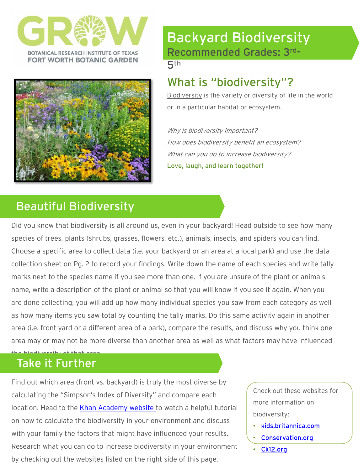



# Backyard Biodiversity Recommended Grades: 3rd -

5th

## What is "biodiversity"?

Biodiversity is the variety or diversity of life in the world or in a particular habitat or ecosystem.

Why is biodiversity important? How does biodiversity benefit an ecosystem? What can you do to increase biodiversity? Love, laugh, and learn together!

# Beautiful Biodiversity

Did you know that biodiversity is all around us, even in your backyard! Head outside to see how many species of trees, plants (shrubs, grasses, flowers, etc.), animals, insects, and spiders you can find. Choose a specific area to collect data (i.e. your backyard or an area at a local park) and use the data collection sheet on Pg. 2 to record your findings. Write down the name of each species and write tally marks next to the species name if you see more than one. If you are unsure of the plant or animals name, write a description of the plant or animal so that you will know if you see it again. When you are done collecting, you will add up how many individual species you saw from each category as well as how many items you saw total by counting the tally marks. Do this same activity again in another area (i.e. front yard or a different area of a park), compare the results, and discuss why you think one area may or may not be more diverse than another area as well as what factors may have influenced

#### the biodiversity of that Take it Further

Find out which area (front vs. backyard) is truly the most diverse by calculating the "Simpson's Index of Diversity" and compare each location. Head to the [Khan Academy website](https://www.khanacademy.org/science/ap-biology/ecology-ap/community-ecology/v/simpsons-index-of-diversity) to watch a helpful tutorial on how to calculate the biodiversity in your environment and discuss with your family the factors that might have influenced your results. Research what you can do to increase biodiversity in your environment by checking out the websites listed on the right side of this page.

Check out these websites for more information on biodiversity:

- [kids.britannica.com](https://kids.britannica.com/students/article/biodiversity/317516)
- [Conservation.org](https://www.conservation.org/blog/why-is-biodiversity-important)
- [Ck12.org](https://www.ck12.org/c/life-science/importance-of-biodiversity/lesson/Importance-of-Biodiversity-MS-LS/)